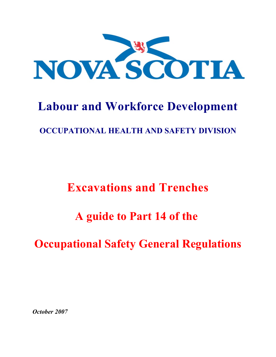

# **Labour and Workforce Development**

### **OCCUPATIONAL HEALTH AND SAFETY DIVISION**

### **Excavations and Trenches**

### **A guide to Part 14 of the**

## **Occupational Safety General Regulations**

*October 2007*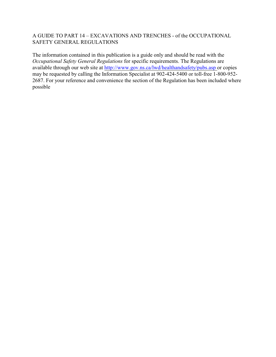#### A GUIDE TO PART 14 – EXCAVATIONS AND TRENCHES - of the OCCUPATIONAL SAFETY GENERAL REGULATIONS

The information contained in this publication is a guide only and should be read with the *Occupational Safety General Regulations* for specific requirements. The Regulations are available through our web site at<http://www.gov.ns.ca/lwd/healthandsafety/pubs.asp>or copies may be requested by calling the Information Specialist at 902-424-5400 or toll-free 1-800-952- 2687. For your reference and convenience the section of the Regulation has been included where possible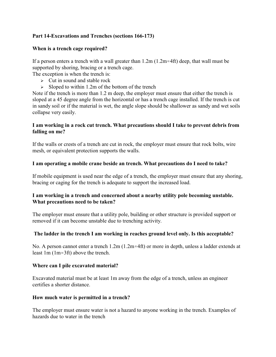#### **Part 14-Excavations and Trenches (sections 166-173)**

#### **When is a trench cage required?**

If a person enters a trench with a wall greater than  $1.2m(1.2m \approx 4ft)$  deep, that wall must be supported by shoring, bracing or a trench cage.

The exception is when the trench is:

- $\triangleright$  Cut in sound and stable rock
- $\geq$  Sloped to within 1.2m of the bottom of the trench

Note if the trench is more than 1.2 m deep, the employer must ensure that either the trench is sloped at a 45 degree angle from the horizontal or has a trench cage installed. If the trench is cut in sandy soil or if the material is wet, the angle slope should be shallower as sandy and wet soils collapse very easily.

#### **I am working in a rock cut trench. What precautions should I take to prevent debris from falling on me?**

If the walls or crests of a trench are cut in rock, the employer must ensure that rock bolts, wire mesh, or equivalent protection supports the walls.

#### **I am operating a mobile crane beside an trench. What precautions do I need to take?**

If mobile equipment is used near the edge of a trench, the employer must ensure that any shoring, bracing or caging for the trench is adequate to support the increased load.

#### **I am working in a trench and concerned about a nearby utility pole becoming unstable. What precautions need to be taken?**

The employer must ensure that a utility pole, building or other structure is provided support or removed if it can become unstable due to trenching activity.

#### **The ladder in the trench I am working in reaches ground level only. Is this acceptable?**

No. A person cannot enter a trench  $1.2m (1.2m \approx 4ft)$  or more in depth, unless a ladder extends at least 1m ( $1m \approx 3$ ft) above the trench.

#### **Where can I pile excavated material?**

Excavated material must be at least 1m away from the edge of a trench, unless an engineer certifies a shorter distance.

#### **How much water is permitted in a trench?**

The employer must ensure water is not a hazard to anyone working in the trench. Examples of hazards due to water in the trench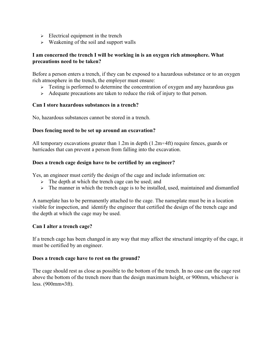- $\triangleright$  Electrical equipment in the trench
- $\triangleright$  Weakening of the soil and support walls

#### **I am concerned the trench I will be working in is an oxygen rich atmosphere. What precautions need to be taken?**

Before a person enters a trench, if they can be exposed to a hazardous substance or to an oxygen rich atmosphere in the trench, the employer must ensure:

- $\triangleright$  Testing is performed to determine the concentration of oxygen and any hazardous gas
- $\triangleright$  Adequate precautions are taken to reduce the risk of injury to that person.

#### **Can I store hazardous substances in a trench?**

No, hazardous substances cannot be stored in a trench.

#### **Does fencing need to be set up around an excavation?**

All temporary excavations greater than 1.2m in depth  $(1.2m \approx 4ft)$  require fences, guards or barricades that can prevent a person from falling into the excavation.

#### **Does a trench cage design have to be certified by an engineer?**

Yes, an engineer must certify the design of the cage and include information on:

- $\triangleright$  The depth at which the trench cage can be used; and
- $\triangleright$  The manner in which the trench cage is to be installed, used, maintained and dismantled

A nameplate has to be permanently attached to the cage. The nameplate must be in a location visible for inspection, and identify the engineer that certified the design of the trench cage and the depth at which the cage may be used.

#### **Can I alter a trench cage?**

If a trench cage has been changed in any way that may affect the structural integrity of the cage, it must be certified by an engineer.

#### **Does a trench cage have to rest on the ground?**

The cage should rest as close as possible to the bottom of the trench. In no case can the cage rest above the bottom of the trench more than the design maximum height, or 900mm, whichever is less. (900mm 3ft).